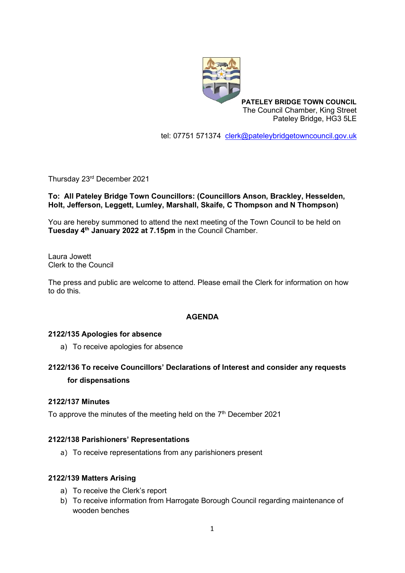

**PATELEY BRIDGE TOWN COUNCIL** The Council Chamber, King Street Pateley Bridge, HG3 5LE

tel: 07751 571374 [clerk@pateleybridgetowncouncil.gov.uk](mailto:clerk@pateleybridgetowncouncil.gov.uk)

Thursday 23rd December 2021

#### **To: All Pateley Bridge Town Councillors: (Councillors Anson, Brackley, Hesselden, Holt, Jefferson, Leggett, Lumley, Marshall, Skaife, C Thompson and N Thompson)**

You are hereby summoned to attend the next meeting of the Town Council to be held on **Tuesday 4 th January 2022 at 7.15pm** in the Council Chamber.

Laura Jowett Clerk to the Council

The press and public are welcome to attend. Please email the Clerk for information on how to do this.

#### **AGENDA**

#### **2122/135 Apologies for absence**

a) To receive apologies for absence

## **2122/136 To receive Councillors' Declarations of Interest and consider any requests for dispensations**

#### **2122/137 Minutes**

To approve the minutes of the meeting held on the  $7<sup>th</sup>$  December 2021

#### **2122/138 Parishioners' Representations**

a) To receive representations from any parishioners present

#### **2122/139 Matters Arising**

- a) To receive the Clerk's report
- b) To receive information from Harrogate Borough Council regarding maintenance of wooden benches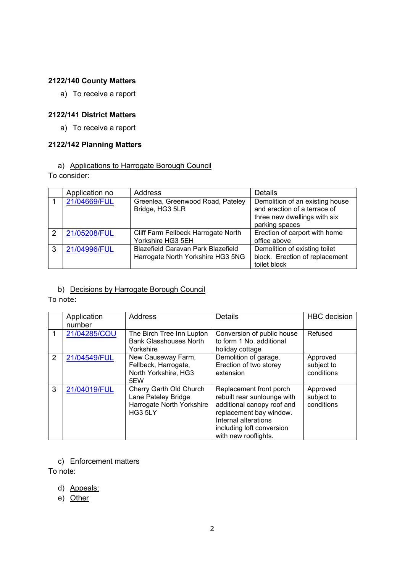## **2122/140 County Matters**

a) To receive a report

## **2122/141 District Matters**

a) To receive a report

## **2122/142 Planning Matters**

# a) Applications to Harrogate Borough Council

To consider:

|               | Application no | Address                                                                        | <b>Details</b>                                                                                                    |
|---------------|----------------|--------------------------------------------------------------------------------|-------------------------------------------------------------------------------------------------------------------|
|               | 21/04669/FUL   | Greenlea, Greenwood Road, Pateley<br>Bridge, HG3 5LR                           | Demolition of an existing house<br>and erection of a terrace of<br>three new dwellings with six<br>parking spaces |
| $\mathcal{P}$ | 21/05208/FUL   | Cliff Farm Fellbeck Harrogate North<br>Yorkshire HG3 5EH                       | Erection of carport with home<br>office above                                                                     |
| 3             | 21/04996/FUL   | <b>Blazefield Caravan Park Blazefield</b><br>Harrogate North Yorkshire HG3 5NG | Demolition of existing toilet<br>block. Erection of replacement<br>toilet block                                   |

## b) Decisions by Harrogate Borough Council

#### To note:

|   | Application<br>number | <b>Address</b>                                                                         | Details                                                                                                                                                                                      | <b>HBC</b> decision                  |
|---|-----------------------|----------------------------------------------------------------------------------------|----------------------------------------------------------------------------------------------------------------------------------------------------------------------------------------------|--------------------------------------|
|   | 21/04285/COU          | The Birch Tree Inn Lupton<br><b>Bank Glasshouses North</b><br>Yorkshire                | Conversion of public house<br>to form 1 No. additional<br>holiday cottage                                                                                                                    | Refused                              |
| 2 | 21/04549/FUL          | New Causeway Farm,<br>Fellbeck, Harrogate,<br>North Yorkshire, HG3<br>5EW              | Demolition of garage.<br>Erection of two storey<br>extension                                                                                                                                 | Approved<br>subject to<br>conditions |
| 3 | 21/04019/FUL          | Cherry Garth Old Church<br>Lane Pateley Bridge<br>Harrogate North Yorkshire<br>HG3 5LY | Replacement front porch<br>rebuilt rear sunlounge with<br>additional canopy roof and<br>replacement bay window.<br>Internal alterations<br>including loft conversion<br>with new rooflights. | Approved<br>subject to<br>conditions |

c) Enforcement matters

To note:

- d) Appeals:
- e) Other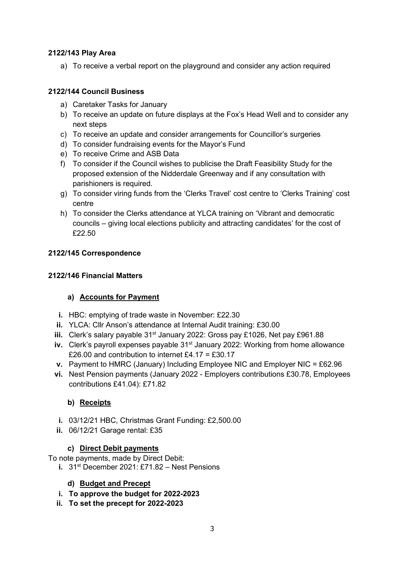## **2122/143 Play Area**

a) To receive a verbal report on the playground and consider any action required

## **2122/144 Council Business**

- a) Caretaker Tasks for January
- b) To receive an update on future displays at the Fox's Head Well and to consider any next steps
- c) To receive an update and consider arrangements for Councillor's surgeries
- d) To consider fundraising events for the Mayor's Fund
- e) To receive Crime and ASB Data
- f) To consider if the Council wishes to publicise the Draft Feasibility Study for the proposed extension of the Nidderdale Greenway and if any consultation with parishioners is required.
- g) To consider viring funds from the 'Clerks Travel' cost centre to 'Clerks Training' cost centre
- h) To consider the Clerks attendance at YLCA training on 'Vibrant and democratic councils – giving local elections publicity and attracting candidates' for the cost of £22.50

#### **2122/145 Correspondence**

#### **2122/146 Financial Matters**

## **a) Accounts for Payment**

- **i.** HBC: emptying of trade waste in November: £22.30
- **ii.** YLCA: Cllr Anson's attendance at Internal Audit training: £30.00
- iii. Clerk's salary payable 31<sup>st</sup> January 2022: Gross pay £1026, Net pay £961.88
- **iv.** Clerk's payroll expenses payable 31<sup>st</sup> January 2022: Working from home allowance £26.00 and contribution to internet £4.17 = £30.17
- **v.** Payment to HMRC (January) Including Employee NIC and Employer NIC = £62.96
- **vi.** Nest Pension payments (January 2022 Employers contributions £30.78, Employees contributions £41.04): £71.82

## **b) Receipts**

- **i.** 03/12/21 HBC, Christmas Grant Funding: £2,500.00
- **ii.** 06/12/21 Garage rental: £35

#### **c) Direct Debit payments**

To note payments, made by Direct Debit:

**i.** 31<sup>st</sup> December 2021: £71.82 - Nest Pensions

#### **d) Budget and Precept**

- **i. To approve the budget for 2022-2023**
- **ii. To set the precept for 2022-2023**